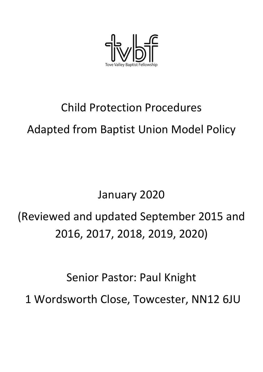

# Child Protection Procedures Adapted from Baptist Union Model Policy

# January 2020

# (Reviewed and updated September 2015 and 2016, 2017, 2018, 2019, 2020)

Senior Pastor: Paul Knight

1 Wordsworth Close, Towcester, NN12 6JU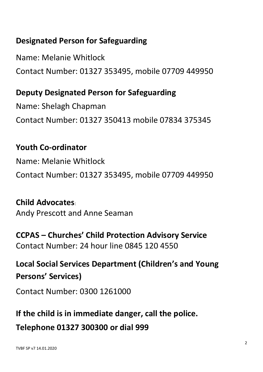## **Designated Person for Safeguarding**

Name: Melanie Whitlock Contact Number: 01327 353495, mobile 07709 449950

## **Deputy Designated Person for Safeguarding**

Name: Shelagh Chapman Contact Number: 01327 350413 mobile 07834 375345

## **Youth Co-ordinator**

Name: Melanie Whitlock Contact Number: 01327 353495, mobile 07709 449950

**Child Advocates**: Andy Prescott and Anne Seaman

**CCPAS – Churches' Child Protection Advisory Service** Contact Number: 24 hour line 0845 120 4550

**Local Social Services Department (Children's and Young Persons' Services)**

Contact Number: 0300 1261000

**If the child is in immediate danger, call the police. Telephone 01327 300300 or dial 999**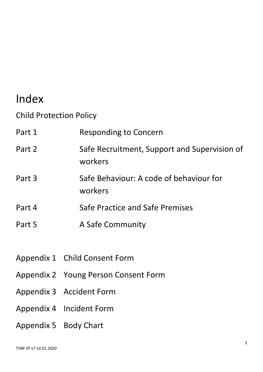## Index

Child Protection Policy

| Part 1 | <b>Responding to Concern</b>                            |
|--------|---------------------------------------------------------|
| Part 2 | Safe Recruitment, Support and Supervision of<br>workers |
| Part 3 | Safe Behaviour: A code of behaviour for<br>workers      |
| Part 4 | Safe Practice and Safe Premises                         |
| Part 5 | A Safe Community                                        |

- Appendix 1 Child Consent Form
- Appendix 2 Young Person Consent Form
- Appendix 3 Accident Form
- Appendix 4 Incident Form
- Appendix 5 Body Chart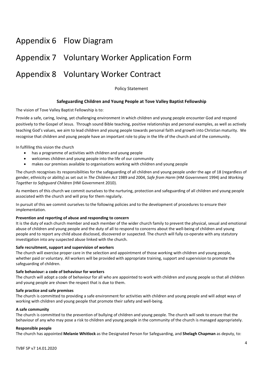# Appendix 6 Flow Diagram Appendix 7 Voluntary Worker Application Form Appendix 8 Voluntary Worker Contract

Policy Statement

#### **Safeguarding Children and Young People at Tove Valley Baptist Fellowship**

The vision of Tove Valley Baptist Fellowship is to:

Provide a safe, caring, loving, yet challenging environment in which children and young people encounter God and respond positively to the Gospel of Jesus. Through sound Bible teaching, positive relationships and personal examples, as well as actively teaching God's values, we aim to lead children and young people towards personal faith and growth into Christian maturity. We recognise that children and young people have an important role to play in the life of the church and of the community.

In fulfilling this vision the church

- has a programme of activities with children and young people
- welcomes children and young people into the life of our community
- makes our premises available to organisations working with children and young people

The church recognises its responsibilities for the safeguarding of all children and young people under the age of 18 (regardless of gender, ethnicity or ability) as set out in *The Children Act* 1989 and 2004, *Safe from Harm* (HM Government 1994) and *Working Together to Safeguard Children* (HM Government 2010).

As members of this church we commit ourselves to the nurturing, protection and safeguarding of all children and young people associated with the church and will pray for them regularly.

In pursuit of this we commit ourselves to the following policies and to the development of procedures to ensure their implementation.

#### **Prevention and reporting of abuse and responding to concern**

It is the duty of each church member and each member of the wider church family to prevent the physical, sexual and emotional abuse of children and young people and the duty of all to respond to concerns about the well-being of children and young people and to report any child abuse disclosed, discovered or suspected. The church will fully co-operate with any statutory investigation into any suspected abuse linked with the church.

#### **Safe recruitment, support and supervision of workers**

The church will exercise proper care in the selection and appointment of those working with children and young people, whether paid or voluntary. All workers will be provided with appropriate training, support and supervision to promote the safeguarding of children.

#### **Safe behaviour: a code of behaviour for workers**

The church will adopt a code of behaviour for all who are appointed to work with children and young people so that all children and young people are shown the respect that is due to them.

#### **Safe practice and safe premises**

The church is committed to providing a safe environment for activities with children and young people and will adopt ways of working with children and young people that promote their safety and well-being.

#### **A safe community**

The church is committed to the prevention of bullying of children and young people. The church will seek to ensure that the behaviour of any who may pose a risk to children and young people in the community of the church is managed appropriately.

#### **Responsible people**

The church has appointed **Melanie Whitlock** as the Designated Person for Safeguarding, and **Shelagh Chapman** as deputy, to: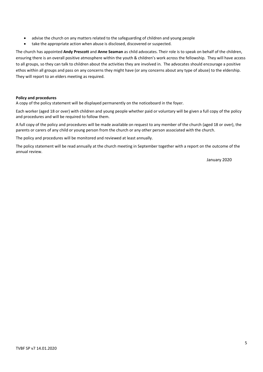- advise the church on any matters related to the safeguarding of children and young people
- take the appropriate action when abuse is disclosed, discovered or suspected.

The church has appointed **Andy Prescott** and **Anne Seaman** as child advocates. Their role is to speak on behalf of the children, ensuring there is an overall positive atmosphere within the youth & children's work across the fellowship. They will have access to all groups, so they can talk to children about the activities they are involved in. The advocates should encourage a positive ethos within all groups and pass on any concerns they might have (or any concerns about any type of abuse) to the eldership. They will report to an elders meeting as required.

#### **Policy and procedures**

A copy of the policy statement will be displayed permanently on the noticeboard in the foyer.

Each worker (aged 18 or over) with children and young people whether paid or voluntary will be given a full copy of the policy and procedures and will be required to follow them.

A full copy of the policy and procedures will be made available on request to any member of the church (aged 18 or over), the parents or carers of any child or young person from the church or any other person associated with the church.

The policy and procedures will be monitored and reviewed at least annually.

The policy statement will be read annually at the church meeting in September together with a report on the outcome of the annual review.

January 2020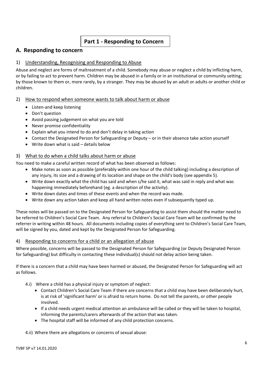#### **Part 1 - Responding to Concern**

#### **A. Responding to concern**

#### 1) Understanding, Recognising and Responding to Abuse

Abuse and neglect are forms of maltreatment of a child. Somebody may abuse or neglect a child by inflicting harm, or by failing to act to prevent harm. Children may be abused in a family or in an institutional or community setting; by those known to them or, more rarely, by a stranger. They may be abused by an adult or adults or another child or children.

#### 2) How to respond when someone wants to talk about harm or abuse

- Listen-and keep listening
- Don't question
- Avoid passing judgement on what you are told
- Never promise confidentiality
- Explain what you intend to do and don't delay in taking action
- Contact the Designated Person for Safeguarding or Deputy or in their absence take action yourself
- Write down what is said details below

#### 3) What to do when a child talks about harm or abuse

You need to make a careful written record of what has been observed as follows:

- Make notes as soon as possible (preferably within one hour of the child talking) including a description of any injury, its size and a drawing of its location and shape on the child's body (see appendix 5).
- Write down exactly what the child has said and when s/he said it, what was said in reply and what was happening immediately beforehand (eg. a description of the activity).
- Write down dates and times of these events and when the record was made.
- Write down any action taken and keep all hand written notes even if subsequently typed up.

These notes will be passed on to the Designated Person for Safeguarding to assist them should the matter need to be referred to Children's Social Care Team. Any referral to Children's Social Care Team will be confirmed by the referrer in writing within 48 hours. All documents including copies of everything sent to Children's Social Care Team, will be signed by you, dated and kept by the Designated Person for Safeguarding.

#### 4) Responding to concerns for a child or an allegation of abuse

Where possible, concerns will be passed to the Designated Person for Safeguarding (or Deputy Designated Person for Safeguarding) but difficulty in contacting these individual(s) should not delay action being taken.

If there is a concern that a child may have been harmed or abused, the Designated Person for Safeguarding will act as follows.

- 4.i) Where a child has a physical injury or symptom of neglect:
	- Contact Children's Social Care Team if there are concerns that a child may have been deliberately hurt, is at risk of 'significant harm' or is afraid to return home. Do not tell the parents, or other people involved.
	- If a child needs urgent medical attention an ambulance will be called or they will be taken to hospital, informing the parents/carers afterwards of the action that was taken.
	- The hospital staff will be informed of any child protection concerns.

4.ii) Where there are allegations or concerns of sexual abuse: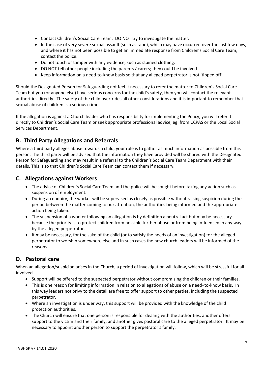- Contact Children's Social Care Team. DO NOT try to investigate the matter.
- In the case of very severe sexual assault (such as rape), which may have occurred over the last few days, and where it has not been possible to get an immediate response from Children's Social Care Team, contact the police.
- Do not touch or tamper with any evidence, such as stained clothing.
- DO NOT tell other people including the parents / carers; they could be involved.
- Keep information on a need-to-know basis so that any alleged perpetrator is not 'tipped off'.

Should the Designated Person for Safeguarding not feel it necessary to refer the matter to Children's Social Care Team but you (or anyone else) have serious concerns for the child's safety, then you will contact the relevant authorities directly. The safety of the child over-rides all other considerations and it is important to remember that sexual abuse of children is a serious crime.

If the allegation is against a Church leader who has responsibility for implementing the Policy, you will refer it directly to Children's Social Care Team or seek appropriate professional advice, eg. from CCPAS or the Local Social Services Department.

#### **B. Third Party Allegations and Referrals**

Where a third party alleges abuse towards a child, your role is to gather as much information as possible from this person. The third party will be advised that the information they have provided will be shared with the Designated Person for Safeguarding and may result in a referral to the Children's Social Care Team Department with their details. This is so that Children's Social Care Team can contact them if necessary.

#### **C. Allegations against Workers**

- The advice of Children's Social Care Team and the police will be sought before taking any action such as suspension of employment.
- During an enquiry, the worker will be supervised as closely as possible without raising suspicion during the period between the matter coming to our attention, the authorities being informed and the appropriate action being taken.
- The suspension of a worker following an allegation is by definition a neutral act but may be necessary because the priority is to protect children from possible further abuse or from being influenced in any way by the alleged perpetrator.
- It may be necessary, for the sake of the child (or to satisfy the needs of an investigation) for the alleged perpetrator to worship somewhere else and in such cases the new church leaders will be informed of the reasons.

#### **D. Pastoral care**

When an allegation/suspicion arises in the Church, a period of investigation will follow, which will be stressful for all involved.

- Support will be offered to the suspected perpetrator without compromising the children or their families.
- This is one reason for limiting information in relation to allegations of abuse on a need–to-know basis. In this way leaders not privy to the detail are free to offer support to other parties, including the suspected perpetrator.
- Where an investigation is under way, this support will be provided with the knowledge of the child protection authorities.
- The Church will ensure that one person is responsible for dealing with the authorities, another offers support to the victim and their family, and another gives pastoral care to the alleged perpetrator. It may be necessary to appoint another person to support the perpetrator's family.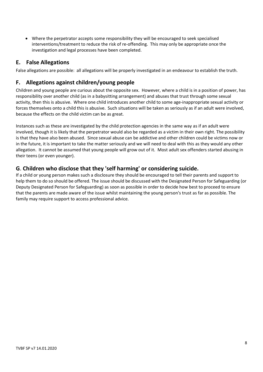• Where the perpetrator accepts some responsibility they will be encouraged to seek specialised interventions/treatment to reduce the risk of re-offending. This may only be appropriate once the investigation and legal processes have been completed.

#### **E. False Allegations**

False allegations are possible: all allegations will be properly investigated in an endeavour to establish the truth.

#### **F. Allegations against children/young people**

Children and young people are curious about the opposite sex. However, where a child is in a position of power, has responsibility over another child (as in a babysitting arrangement) and abuses that trust through some sexual activity, then this is abusive. Where one child introduces another child to some age-inappropriate sexual activity or forces themselves onto a child this is abusive. Such situations will be taken as seriously as if an adult were involved, because the effects on the child victim can be as great.

Instances such as these are investigated by the child protection agencies in the same way as if an adult were involved, though it is likely that the perpetrator would also be regarded as a victim in their own right. The possibility is that they have also been abused. Since sexual abuse can be addictive and other children could be victims now or in the future, it is important to take the matter seriously and we will need to deal with this as they would any other allegation. It cannot be assumed that young people will grow out of it. Most adult sex offenders started abusing in their teens (or even younger).

#### **G**. **Children who disclose that they 'self harming' or considering suicide.**

If a child or young person makes such a disclosure they should be encouraged to tell their parents and support to help them to do so should be offered. The issue should be discussed with the Designated Person for Safeguarding (or Deputy Designated Person for Safeguarding) as soon as possible in order to decide how best to proceed to ensure that the parents are made aware of the issue whilst maintaining the young person's trust as far as possible. The family may require support to access professional advice.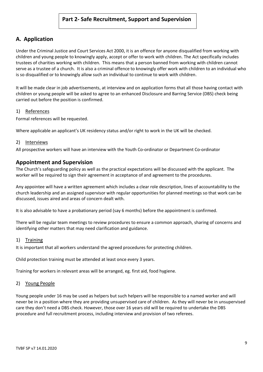#### **A. Application**

Under the Criminal Justice and Court Services Act 2000, it is an offence for anyone disqualified from working with children and young people to knowingly apply, accept or offer to work with children. The Act specifically includes trustees of charities working with children. This means that a person banned from working with children cannot serve as a trustee of a church. It is also a criminal offence to knowingly offer work with children to an individual who is so disqualified or to knowingly allow such an individual to continue to work with children.

It will be made clear in job advertisements, at interview and on application forms that all those having contact with children or young people will be asked to agree to an enhanced Disclosure and Barring Service (DBS) check being carried out before the position is confirmed.

#### 1) References

Formal references will be requested.

Where applicable an applicant's UK residency status and/or right to work in the UK will be checked.

#### 2) Interviews

All prospective workers will have an interview with the Youth Co-ordinator or Department Co-ordinator

#### **Appointment and Supervision**

The Church's safeguarding policy as well as the practical expectations will be discussed with the applicant. The worker will be required to sign their agreement in acceptance of and agreement to the procedures.

Any appointee will have a written agreement which includes a clear role description, lines of accountability to the church leadership and an assigned supervisor with regular opportunities for planned meetings so that work can be discussed, issues aired and areas of concern dealt with.

It is also advisable to have a probationary period (say 6 months) before the appointment is confirmed.

There will be regular team meetings to review procedures to ensure a common approach, sharing of concerns and identifying other matters that may need clarification and guidance.

#### 1) Training

It is important that all workers understand the agreed procedures for protecting children.

Child protection training must be attended at least once every 3 years.

Training for workers in relevant areas will be arranged, eg. first aid, food hygiene.

#### 2) Young People

Young people under 16 may be used as helpers but such helpers will be responsible to a named worker and will never be in a position where they are providing unsupervised care of children. As they will never be in unsupervised care they don't need a DBS check. However, those over 16 years old will be required to undertake the DBS procedure and full recruitment process, including interview and provision of two referees.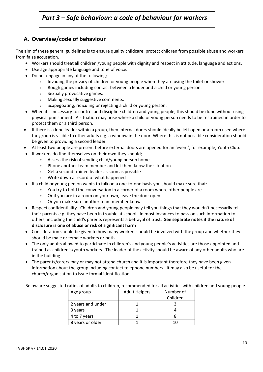## *Part 3 – Safe behaviour: a code of behaviour for workers*

#### **A. Overview/code of behaviour**

The aim of these general guidelines is to ensure quality childcare, protect children from possible abuse and workers from false accusation.

- Workers should treat all children /young people with dignity and respect in attitude, language and actions.
- Use age appropriate language and tone of voice.
- Do not engage in any of the following;
	- $\circ$  Invading the privacy of children or young people when they are using the toilet or shower.
	- o Rough games including contact between a leader and a child or young person.
	- o Sexually provocative games.
	- o Making sexually suggestive comments.
	- o Scapegoating, ridiculing or rejecting a child or young person.
- When it is necessary to control and discipline children and young people, this should be done without using physical punishment. A situation may arise where a child or young person needs to be restrained in order to protect them or a third person.
- If there is a lone leader within a group, then internal doors should ideally be left open or a room used where the group is visible to other adults e.g. a window in the door. Where this is not possible consideration should be given to providing a second leader
- At least two people are present before external doors are opened for an 'event', for example, Youth Club.
- If workers do find themselves on their own they should;
	- o Assess the risk of sending child/young person home
	- o Phone another team member and let them know the situation
	- o Get a second trained leader as soon as possible
	- o Write down a record of what happened
- If a child or young person wants to talk on a one-to-one basis you should make sure that:
	- o You try to hold the conversation in a corner of a room where other people are.
	- o Or if you are in a room on your own, leave the door open.
	- o Or you make sure another team member knows.
- Respect confidentiality. Children and young people may tell you things that they wouldn't necessarily tell their parents e.g. they have been in trouble at school. In most instances to pass on such information to others, including the child's parents represents a betrayal of trust. **See separate notes if the nature of disclosure is one of abuse or risk of significant harm**
- Consideration should be given to how many workers should be involved with the group and whether they should be male or female workers or both.
- The only adults allowed to participate in children's and young people's activities are those appointed and trained as children's/youth workers. The leader of the activity should be aware of any other adults who are in the building.
- The parents/carers may or may not attend church and it is important therefore they have been given information about the group including contact telephone numbers. It may also be useful for the church/organisation to issue formal identification.

Below are suggested ratios of adults to children, recommended for all activities with children and young people.

| Age group         | <b>Adult Helpers</b> | Number of |
|-------------------|----------------------|-----------|
|                   |                      | Children  |
| 2 years and under |                      |           |
| 3 years           |                      |           |
| 4 to 7 years      |                      |           |
| 8 years or older  |                      |           |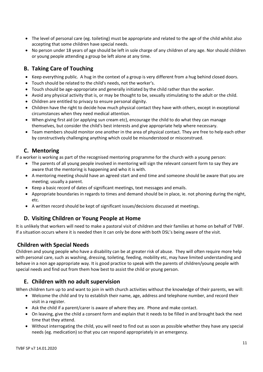- The level of personal care (eg. toileting) must be appropriate and related to the age of the child whilst also accepting that some children have special needs.
- No person under 18 years of age should be left in sole charge of any children of any age. Nor should children or young people attending a group be left alone at any time.

#### **B. Taking Care of Touching**

- Keep everything public. A hug in the context of a group is very different from a hug behind closed doors.
- Touch should be related to the child's needs, not the worker's.
- Touch should be age-appropriate and generally initiated by the child rather than the worker.
- Avoid any physical activity that is, or may be thought to be, sexually stimulating to the adult or the child.
- Children are entitled to privacy to ensure personal dignity.
- Children have the right to decide how much physical contact they have with others, except in exceptional circumstances when they need medical attention.
- When giving first aid (or applying sun cream etc), encourage the child to do what they can manage themselves, but consider the child's best interests and give appropriate help where necessary.
- Team members should monitor one another in the area of physical contact. They are free to help each other by constructively challenging anything which could be misunderstood or misconstrued.

#### **C. Mentoring**

If a worker is working as part of the recognised mentoring programme for the church with a young person:

- The parents of all young people involved in mentoring will sign the relevant consent form to say they are aware that the mentoring is happening and who it is with.
- A mentoring meeting should have an agreed start and end time and someone should be aware that you are meeting; usually a parent.
- Keep a basic record of dates of significant meetings, text messages and emails.
- Appropriate boundaries in regards to times and demand should be in place, ie. not phoning during the night, etc.
- A written record should be kept of significant issues/decisions discussed at meetings.

#### **D. Visiting Children or Young People at Home**

It is unlikely that workers will need to make a pastoral visit of children and their families at home on behalf of TVBF. If a situation occurs where it is needed then it can only be done with both DSL's being aware of the visit.

#### **Children with Special Needs**

Children and young people who have a disability can be at greater risk of abuse. They will often require more help with personal care, such as washing, dressing, toileting, feeding, mobility etc, may have limited understanding and behave in a non age appropriate way. It is good practice to speak with the parents of children/young people with special needs and find out from them how best to assist the child or young person.

#### **E. Children with no adult supervision**

When children turn up to and want to join in with church activities without the knowledge of their parents, we will:

- Welcome the child and try to establish their name, age, address and telephone number, and record their visit in a register.
- Ask the child if a parent/carer is aware of where they are. Phone and make contact.
- On leaving, give the child a consent form and explain that it needs to be filled in and brought back the next time that they attend.
- Without interrogating the child, you will need to find out as soon as possible whether they have any special needs (eg. medication) so that you can respond appropriately in an emergency.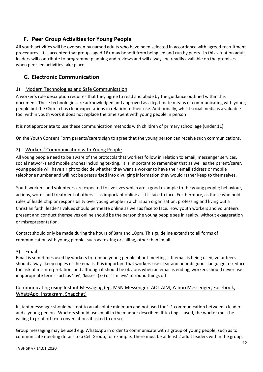#### **F. Peer Group Activities for Young People**

All youth activities will be overseen by named adults who have been selected in accordance with agreed recruitment procedures. It is accepted that groups aged 16+ may benefit from being led and run by peers. In this situation adult leaders will contribute to programme planning and reviews and will always be readily available on the premises when peer-led activities take place.

#### **G. Electronic Communication**

#### 1) Modern Technologies and Safe Communication

A worker's role description requires that they agree to read and abide by the guidance outlined within this document. These technologies are acknowledged and approved as a legitimate means of communicating with young people but the Church has clear expectations in relation to their use. Additionally, whilst social media is a valuable tool within youth work it does not replace the time spent with young people in person

It is not appropriate to use these communication methods with children of primary school age (under 11).

On the Youth Consent Form parents/carers sign to agree that the young person can receive such communications.

#### 2) Workers' Communication with Young People

All young people need to be aware of the protocols that workers follow in relation to email, messenger services, social networks and mobile phones including texting. It is important to remember that as well as the parent/carer, young people will have a right to decide whether they want a worker to have their email address or mobile telephone number and will not be pressurised into divulging information they would rather keep to themselves.

Youth workers and volunteers are expected to live lives which are a good example to the young people; behaviour, actions, words and treatment of others is as important online as it is face to face. Furthermore, as those who hold roles of leadership or responsibility over young people in a Christian organisation, professing and living out a Christian faith, leader's values should permeate online as well as face to face. How youth workers and volunteers present and conduct themselves online should be the person the young people see in reality, without exaggeration or misrepresentation.

Contact should only be made during the hours of 8am and 10pm. This guideline extends to all forms of communication with young people, such as texting or calling, other than email.

#### 3) Email

Email is sometimes used by workers to remind young people about meetings. If email is being used, volunteers should always keep copies of the emails. It is important that workers use clear and unambiguous language to reduce the risk of misinterpretation, and although it should be obvious when an email is ending, workers should never use inappropriate terms such as 'luv', 'kisses' (xx) or 'smileys' to round things off.

#### Communicating using Instant Messaging (eg. MSN Messenger, AOL AIM, Yahoo Messenger, Facebook, WhatsApp, Instagram, Snapchat)

Instant messenger should be kept to an absolute minimum and not used for 1:1 communication between a leader and a young person. Workers should use email in the manner described. If texting is used, the worker must be willing to print off text conversations if asked to do so.

Group messaging may be used e.g. WhatsApp in order to communicate with a group of young people; such as to communicate meeting details to a Cell Group, for example. There must be at least 2 adult leaders within the group.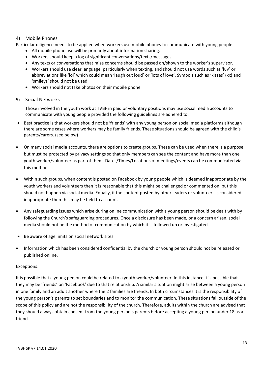#### 4) Mobile Phones

Particular diligence needs to be applied when workers use mobile phones to communicate with young people:

- All mobile phone use will be primarily about information sharing.
- Workers should keep a log of significant conversations/texts/messages.
- Any texts or conversations that raise concerns should be passed on/shown to the worker's supervisor.
- Workers should use clear language, particularly when texting, and should not use words such as 'luv' or abbreviations like 'lol' which could mean 'laugh out loud' or 'lots of love'. Symbols such as 'kisses' (xx) and 'smileys' should not be used
- Workers should not take photos on their mobile phone

#### 5) Social Networks

Those involved in the youth work at TVBF in paid or voluntary positions may use social media accounts to communicate with young people provided the following guidelines are adhered to:

- Best practice is that workers should not be 'friends' with any young person on social media platforms although there are some cases where workers may be family friends. These situations should be agreed with the child's parents/carers. (see below)
- On many social media accounts, there are options to create groups. These can be used when there is a purpose, but must be protected by privacy settings so that only members can see the content and have more than one youth worker/volunteer as part of them. Dates/Times/Locations of meetings/events can be communicated via this method.
- Within such groups, when content is posted on Facebook by young people which is deemed inappropriate by the youth workers and volunteers then it is reasonable that this might be challenged or commented on, but this should not happen via social media. Equally, if the content posted by other leaders or volunteers is considered inappropriate then this may be held to account.
- Any safeguarding issues which arise during online communication with a young person should be dealt with by following the Church's safeguarding procedures. Once a disclosure has been made, or a concern arisen, social media should not be the method of communication by which it is followed up or investigated.
- Be aware of age limits on social network sites.
- Information which has been considered confidential by the church or young person should not be released or published online.

#### Exceptions:

It is possible that a young person could be related to a youth worker/volunteer. In this instance it is possible that they may be 'friends' on 'Facebook' due to that relationship. A similar situation might arise between a young person in one family and an adult another where the 2 families are friends. In both circumstances it is the responsibility of the young person's parents to set boundaries and to monitor the communication. These situations fall outside of the scope of this policy and are not the responsibility of the church. Therefore, adults within the church are advised that they should always obtain consent from the young person's parents before accepting a young person under 18 as a friend.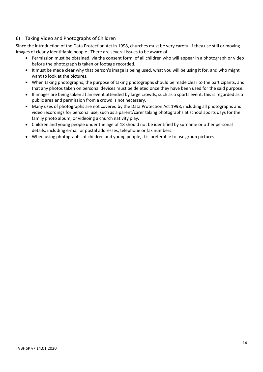#### 6) Taking Video and Photographs of Children

Since the introduction of the Data Protection Act in 1998, churches must be very careful if they use still or moving images of clearly identifiable people. There are several issues to be aware of:

- Permission must be obtained, via the consent form, of all children who will appear in a photograph or video before the photograph is taken or footage recorded.
- It must be made clear why that person's image is being used, what you will be using it for, and who might want to look at the pictures.
- When taking photographs, the purpose of taking photographs should be made clear to the participants, and that any photos taken on personal devices must be deleted once they have been used for the said purpose.
- If images are being taken at an event attended by large crowds, such as a sports event, this is regarded as a public area and permission from a crowd is not necessary.
- Many uses of photographs are not covered by the Data Protection Act 1998, including all photographs and video recordings for personal use, such as a parent/carer taking photographs at school sports days for the family photo album, or videoing a church nativity play.
- Children and young people under the age of 18 should not be identified by surname or other personal details, including e-mail or postal addresses, telephone or fax numbers.
- When using photographs of children and young people, it is preferable to use group pictures.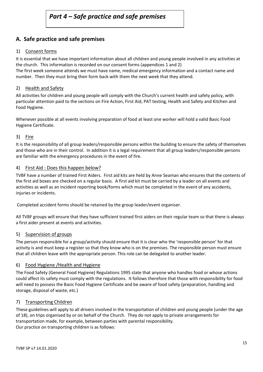#### **A. Safe practice and safe premises**

#### 1) Consent forms

It is essential that we have important information about all children and young people involved in any activities at the church. This information is recorded on our consent forms (appendices 1 and 2)

The first week someone attends we must have name, medical emergency information and a contact name and number. Then they must bring their form back with them the next week that they attend.

#### 2) Health and Safety

All activities for children and young people will comply with the Church's current health and safety policy, with particular attention paid to the sections on Fire Action, First Aid, PAT testing, Health and Safety and Kitchen and Food Hygiene.

Whenever possible at all events involving preparation of food at least one worker will hold a valid Basic Food Hygiene Certificate.

#### 3) Fire

It is the responsibility of all group leaders/responsible persons within the building to ensure the safety of themselves and those who are in their control. In addition it is a legal requirement that all group leaders/responsible persons are familiar with the emergency procedures in the event of fire.

#### 4) First Aid: Does this happen below?

TVBF have a number of trained First Aiders. First aid kits are held by Anne Seaman who ensures that the contents of the first aid boxes are checked on a regular basis. A first aid kit must be carried by a leader on all events and activities as well as an incident reporting book/forms which must be completed in the event of any accidents, injuries or incidents.

Completed accident forms should be retained by the group leader/event organiser.

All TVBF groups will ensure that they have sufficient trained first aiders on their regular team so that there is always a first aider present at events and activities.

#### 5) Supervision of groups

The person responsible for a group/activity should ensure that it is clear who the 'responsible person' for that activity is and must keep a register so that they know who is on the premises. The responsible person must ensure that all children leave with the appropriate person. This role can be delegated to another leader.

#### 6) Food Hygiene /Health and Hygiene

The Food Safety (General Food Hygiene) Regulations 1995 state that anyone who handles food or whose actions could affect its safety must comply with the regulations. It follows therefore that those with responsibility for food will need to possess the Basic Food Hygiene Certificate and be aware of food safety (preparation, handling and storage, disposal of waste, etc.)

#### 7) Transporting Children

These guidelines will apply to all drivers involved in the transportation of children and young people (under the age of 18), on trips organised by or on behalf of the Church. They do not apply to private arrangements for transportation made, for example, between parties with parental responsibility. Our practice on transporting children is as follows: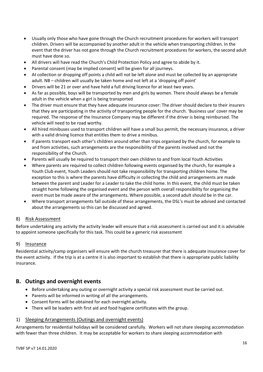- Usually only those who have gone through the Church recruitment procedures for workers will transport children. Drivers will be accompanied by another adult in the vehicle when transporting children. In the event that the driver has not gone through the Church recruitment procedures for workers, the second adult must have done so.
- All drivers will have read the Church's Child Protection Policy and agree to abide by it.
- Parental consent (may be implied consent) will be given for all journeys.
- At collection or dropping off points a child will not be left alone and must be collected by an appropriate adult. NB – children will usually be taken home and not left at a 'dropping off point'
- Drivers will be 21 or over and have held a full driving licence for at least two years.
- As far as possible, boys will be transported by men and girls by women. There should always be a female adult in the vehicle when a girl is being transported
- The driver must ensure that they have adequate insurance cover: The driver should declare to their insurers that they are participating in the activity of transporting people for the church. 'Business use' cover may be required. The response of the Insurance Company may be different if the driver is being reimbursed. The vehicle will need to be road worthy.
- All hired minibuses used to transport children will have a small bus permit, the necessary insurance, a driver with a valid driving licence that entitles them to drive a minibus.
- If parents transport each other's children around other than trips organised by the church, for example to and from activities, such arrangements are the responsibility of the parents involved and not the responsibility of the Church.
- Parents will usually be required to transport their own children to and from local Youth Activities
- Where parents are required to collect children following events organised by the church, for example a Youth Club event, Youth Leaders should not take responsibility for transporting children home. The exception to this is where the parents have difficulty in collecting the child and arrangements are made between the parent and Leader for a Leader to take the child home. In this event, the child must be taken straight home following the organised event and the person with overall responsibility for organising the event must be made aware of the arrangements. Where possible, a second adult should be in the car.
- Where transport arrangements fall outside of these arrangements, the DSL's must be advised and contacted about the arrangements so this can be discussed and agreed.

#### 8) Risk Assessment

Before undertaking any activity the activity leader will ensure that a risk assessment is carried out and it is advisable to appoint someone specifically for this task. This could be a generic risk assessment

#### 9) Insurance

Residential activity/camp organisers will ensure with the church treasurer that there is adequate insurance cover for the event activity. If the trip is at a centre it is also important to establish that there is appropriate public liability insurance.

#### **B. Outings and overnight events**

- Before undertaking any outing or overnight activity a special risk assessment must be carried out.
- Parents will be informed in writing of all the arrangements.
- Consent forms will be obtained for each overnight activity.
- There will be leaders with first aid and food hygiene certificates with the group.

#### 1) Sleeping Arrangements (Outings and overnight events)

Arrangements for residential holidays will be considered carefully. Workers will not share sleeping accommodation with fewer than three children. It may be acceptable for workers to share sleeping accommodation with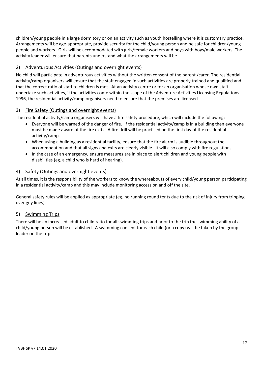children/young people in a large dormitory or on an activity such as youth hostelling where it is customary practice. Arrangements will be age-appropriate, provide security for the child/young person and be safe for children/young people and workers. Girls will be accommodated with girls/female workers and boys with boys/male workers. The activity leader will ensure that parents understand what the arrangements will be.

#### 2) Adventurous Activities (Outings and overnight events)

No child will participate in adventurous activities without the written consent of the parent /carer. The residential activity/camp organisers will ensure that the staff engaged in such activities are properly trained and qualified and that the correct ratio of staff to children is met. At an activity centre or for an organisation whose own staff undertake such activities, if the activities come within the scope of the Adventure Activities Licensing Regulations 1996, the residential activity/camp organisers need to ensure that the premises are licensed.

#### 3) Fire Safety (Outings and overnight events)

The residential activity/camp organisers will have a fire safety procedure, which will include the following:

- Everyone will be warned of the danger of fire. If the residential activity/camp is in a building then everyone must be made aware of the fire exits. A fire drill will be practised on the first day of the residential activity/camp.
- When using a building as a residential facility, ensure that the fire alarm is audible throughout the accommodation and that all signs and exits are clearly visible. It will also comply with fire regulations.
- In the case of an emergency, ensure measures are in place to alert children and young people with disabilities (eg. a child who is hard of hearing).

#### 4) Safety (Outings and overnight events)

At all times, it is the responsibility of the workers to know the whereabouts of every child/young person participating in a residential activity/camp and this may include monitoring access on and off the site.

General safety rules will be applied as appropriate (eg. no running round tents due to the risk of injury from tripping over guy lines).

#### 5) Swimming Trips

There will be an increased adult to child ratio for all swimming trips and prior to the trip the swimming ability of a child/young person will be established. A swimming consent for each child (or a copy) will be taken by the group leader on the trip.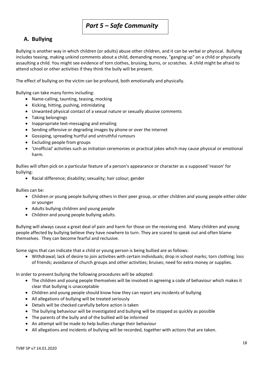### *Part 5 – Safe Community*

#### **A. Bullying**

Bullying is another way in which children (or adults) abuse other children, and it can be verbal or physical. Bullying includes teasing, making unkind comments about a child, demanding money, "ganging up" on a child or physically assaulting a child. You might see evidence of torn clothes, bruising, burns, or scratches. A child might be afraid to attend school or other activities if they think the bully will be present.

The effect of bullying on the victim can be profound, both emotionally and physically.

Bullying can take many forms including:

- Name-calling, taunting, teasing, mocking
- Kicking, hitting, pushing, intimidating
- Unwanted physical contact of a sexual nature or sexually abusive comments
- Taking belongings
- Inappropriate text-messaging and emailing
- Sending offensive or degrading images by phone or over the internet
- Gossiping, spreading hurtful and untruthful rumours
- Excluding people from groups
- 'Unofficial' activities such as initiation ceremonies or practical jokes which may cause physical or emotional harm.

Bullies will often pick on a particular feature of a person's appearance or character as a supposed 'reason' for bullying:

• Racial difference; disability; sexuality; hair colour; gender

Bullies can be:

- Children or young people bullying others in their peer group, or other children and young people either older or younger
- Adults bullying children and young people
- Children and young people bullying adults.

Bullying will always cause a great deal of pain and harm for those on the receiving end. Many children and young people affected by bullying believe they have nowhere to turn. They are scared to speak out and often blame themselves. They can become fearful and reclusive.

Some signs that can indicate that a child or young person is being bullied are as follows:

• Withdrawal; lack of desire to join activities with certain individuals; drop in school marks; torn clothing; loss of friends; avoidance of church groups and other activities; bruises; need for extra money or supplies.

In order to prevent bullying the following procedures will be adopted:

- The children and young people themselves will be involved in agreeing a code of behaviour which makes it clear that bullying is unacceptable
- Children and young people should know how they can report any incidents of bullying
- All allegations of bullying will be treated seriously
- Details will be checked carefully before action is taken
- The bullying behaviour will be investigated and bullying will be stopped as quickly as possible
- The parents of the bully and of the bullied will be informed
- An attempt will be made to help bullies change their behaviour
- All allegations and incidents of bullying will be recorded, together with actions that are taken.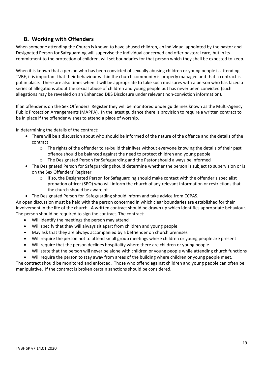#### **B. Working with Offenders**

When someone attending the Church is known to have abused children, an individual appointed by the pastor and Designated Person for Safeguarding will supervise the individual concerned and offer pastoral care, but in its commitment to the protection of children, will set boundaries for that person which they shall be expected to keep.

When it is known that a person who has been convicted of sexually abusing children or young people is attending TVBF, it is important that their behaviour within the church community is properly managed and that a contract is put in place. There are also times when it will be appropriate to take such measures with a person who has faced a series of allegations about the sexual abuse of children and young people but has never been convicted (such allegations may be revealed on an Enhanced DBS Disclosure under relevant non-conviction information).

If an offender is on the Sex Offenders' Register they will be monitored under guidelines known as the Multi-Agency Public Protection Arrangements (MAPPA). In the latest guidance there is provision to require a written contract to be in place if the offender wishes to attend a place of worship.

In determining the details of the contract:

- There will be a discussion about who should be informed of the nature of the offence and the details of the contract
	- $\circ$  The rights of the offender to re-build their lives without everyone knowing the details of their past offence should be balanced against the need to protect children and young people
	- o The Designated Person for Safeguarding and the Pastor should always be informed
- The Designated Person for Safeguarding should determine whether the person is subject to supervision or is on the Sex Offenders' Register
	- $\circ$  if so, the Designated Person for Safeguarding should make contact with the offender's specialist probation officer (SPO) who will inform the church of any relevant information or restrictions that the church should be aware of
- The Designated Person for Safeguarding should inform and take advice from CCPAS.

An open discussion must be held with the person concerned in which clear boundaries are established for their involvement in the life of the church. A written contract should be drawn up which identifies appropriate behaviour. The person should be required to sign the contract. The contract:

- Will identify the meetings the person may attend
- Will specify that they will always sit apart from children and young people
- May ask that they are always accompanied by a befriender on church premises
- Will require the person not to attend small group meetings where children or young people are present
- Will require that the person declines hospitality where there are children or young people
- Will state that the person will never be alone with children or young people while attending church functions
- Will require the person to stay away from areas of the building where children or young people meet.

The contract should be monitored and enforced. Those who offend against children and young people can often be manipulative. If the contract is broken certain sanctions should be considered.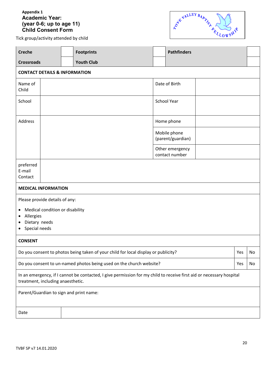#### **Appendix 1 Academic Year: (year 0-6; up to age 11) Child Consent Form**



Tick group/activity attended by child

| <b>Creche</b>                                                                                                                                             |                                          |  | <b>Footprints</b>                 |             | <b>Pathfinders</b>                |  |  |  |
|-----------------------------------------------------------------------------------------------------------------------------------------------------------|------------------------------------------|--|-----------------------------------|-------------|-----------------------------------|--|--|--|
| <b>Crossroads</b>                                                                                                                                         |                                          |  | <b>Youth Club</b>                 |             |                                   |  |  |  |
|                                                                                                                                                           | <b>CONTACT DETAILS &amp; INFORMATION</b> |  |                                   |             |                                   |  |  |  |
| Name of<br>Child                                                                                                                                          |                                          |  |                                   |             | Date of Birth                     |  |  |  |
| School                                                                                                                                                    |                                          |  |                                   | School Year |                                   |  |  |  |
| Address                                                                                                                                                   |                                          |  | Home phone                        |             |                                   |  |  |  |
|                                                                                                                                                           |                                          |  |                                   |             | Mobile phone<br>(parent/guardian) |  |  |  |
|                                                                                                                                                           |                                          |  | Other emergency<br>contact number |             |                                   |  |  |  |
| preferred<br>E-mail<br>Contact                                                                                                                            |                                          |  |                                   |             |                                   |  |  |  |
| <b>MEDICAL INFORMATION</b>                                                                                                                                |                                          |  |                                   |             |                                   |  |  |  |
|                                                                                                                                                           | Please provide details of any:           |  |                                   |             |                                   |  |  |  |
| Medical condition or disability<br>$\bullet$<br>Allergies<br>٠<br>Dietary needs<br>Special needs<br>٠                                                     |                                          |  |                                   |             |                                   |  |  |  |
| <b>CONSENT</b>                                                                                                                                            |                                          |  |                                   |             |                                   |  |  |  |
| Do you consent to photos being taken of your child for local display or publicity?                                                                        |                                          |  |                                   | Yes         | No                                |  |  |  |
| Do you consent to un-named photos being used on the church website?                                                                                       |                                          |  |                                   | Yes         | No                                |  |  |  |
| In an emergency, if I cannot be contacted, I give permission for my child to receive first aid or necessary hospital<br>treatment, including anaesthetic. |                                          |  |                                   |             |                                   |  |  |  |
| Parent/Guardian to sign and print name:                                                                                                                   |                                          |  |                                   |             |                                   |  |  |  |
| Date                                                                                                                                                      |                                          |  |                                   |             |                                   |  |  |  |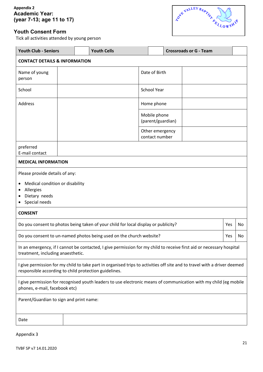#### **Appendix 2 Academic Year: (year 7-13; age 11 to 17)**

#### **Youth Consent Form**

Tick all activities attended by young person



|                                                                                                                                                                                   | <b>Youth Club - Seniors</b> |  | <b>Youth Cells</b> |                                   |                                   | <b>Crossroads or G - Team</b> |  |  |  |
|-----------------------------------------------------------------------------------------------------------------------------------------------------------------------------------|-----------------------------|--|--------------------|-----------------------------------|-----------------------------------|-------------------------------|--|--|--|
| <b>CONTACT DETAILS &amp; INFORMATION</b>                                                                                                                                          |                             |  |                    |                                   |                                   |                               |  |  |  |
| Name of young<br>person                                                                                                                                                           |                             |  |                    | Date of Birth                     |                                   |                               |  |  |  |
| School                                                                                                                                                                            |                             |  |                    |                                   | <b>School Year</b>                |                               |  |  |  |
| Address                                                                                                                                                                           |                             |  |                    |                                   | Home phone                        |                               |  |  |  |
|                                                                                                                                                                                   |                             |  |                    | Mobile phone<br>(parent/guardian) |                                   |                               |  |  |  |
|                                                                                                                                                                                   |                             |  |                    |                                   | Other emergency<br>contact number |                               |  |  |  |
| preferred<br>E-mail contact                                                                                                                                                       |                             |  |                    |                                   |                                   |                               |  |  |  |
| <b>MEDICAL INFORMATION</b>                                                                                                                                                        |                             |  |                    |                                   |                                   |                               |  |  |  |
| Please provide details of any:                                                                                                                                                    |                             |  |                    |                                   |                                   |                               |  |  |  |
| Medical condition or disability                                                                                                                                                   |                             |  |                    |                                   |                                   |                               |  |  |  |
| Allergies<br>Dietary needs                                                                                                                                                        |                             |  |                    |                                   |                                   |                               |  |  |  |
| Special needs                                                                                                                                                                     |                             |  |                    |                                   |                                   |                               |  |  |  |
| <b>CONSENT</b>                                                                                                                                                                    |                             |  |                    |                                   |                                   |                               |  |  |  |
| Do you consent to photos being taken of your child for local display or publicity?<br>Yes                                                                                         |                             |  |                    |                                   | No                                |                               |  |  |  |
| Do you consent to un-named photos being used on the church website?                                                                                                               |                             |  |                    | Yes                               | No                                |                               |  |  |  |
| In an emergency, if I cannot be contacted, I give permission for my child to receive first aid or necessary hospital<br>treatment, including anaesthetic.                         |                             |  |                    |                                   |                                   |                               |  |  |  |
| I give permission for my child to take part in organised trips to activities off site and to travel with a driver deemed<br>responsible according to child protection guidelines. |                             |  |                    |                                   |                                   |                               |  |  |  |
| I give permission for recognised youth leaders to use electronic means of communication with my child (eg mobile<br>phones, e-mail, facebook etc)                                 |                             |  |                    |                                   |                                   |                               |  |  |  |
| Parent/Guardian to sign and print name:                                                                                                                                           |                             |  |                    |                                   |                                   |                               |  |  |  |
| Date                                                                                                                                                                              |                             |  |                    |                                   |                                   |                               |  |  |  |

Appendix 3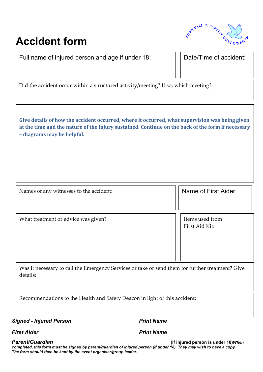# TON BALLEY BADYS

## **Accident form**

Full name of injured person and age if under 18: **Date/Time of accident:** 

Did the accident occur within a structured activity/meeting? If so, which meeting?

**Give details of how the accident occurred, where it occurred, what supervision was being given at the time and the nature of the injury sustained. Continue on the back of the form if necessary – diagrams may be helpful.**

Names of any witnesses to the accident: Name of First Aider:

What treatment or advice was given?

Items used from First Aid Kit:

Was it necessary to call the Emergency Services or take or send them for further treatment? Give details:

Recommendations to the Health and Safety Deacon in light of this accident:

**Signed - Injured Person** *Print Name* 

*First Aider Print Name*

22 *Parent/Guardian* **(if injured person is under 18)***When*  completed, this form must be signed by parent/guardian of injured person (if under 18). They may wish to have a copy.<br>— *The form should then be kept by the event organiser/group leader.*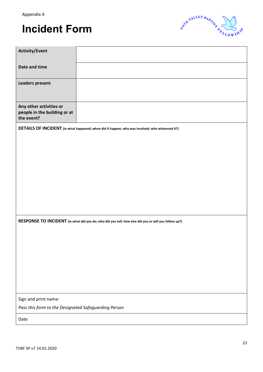## **Incident Form**



| <b>Activity/Event</b>                                                                                |                                                                                                 |  |  |  |  |
|------------------------------------------------------------------------------------------------------|-------------------------------------------------------------------------------------------------|--|--|--|--|
| Date and time                                                                                        |                                                                                                 |  |  |  |  |
| <b>Leaders present</b>                                                                               |                                                                                                 |  |  |  |  |
| Any other activities or<br>people in the building or at<br>the event?                                |                                                                                                 |  |  |  |  |
|                                                                                                      | DETAILS OF INCIDENT (ie what happened; when did it happen; who was involved; who witnessed it?) |  |  |  |  |
|                                                                                                      |                                                                                                 |  |  |  |  |
|                                                                                                      |                                                                                                 |  |  |  |  |
|                                                                                                      |                                                                                                 |  |  |  |  |
|                                                                                                      |                                                                                                 |  |  |  |  |
|                                                                                                      |                                                                                                 |  |  |  |  |
| RESPONSE TO INCIDENT (ie what did you do; who did you tell; how else did you or will you follow up?) |                                                                                                 |  |  |  |  |
|                                                                                                      |                                                                                                 |  |  |  |  |
|                                                                                                      |                                                                                                 |  |  |  |  |
|                                                                                                      |                                                                                                 |  |  |  |  |
|                                                                                                      |                                                                                                 |  |  |  |  |
|                                                                                                      |                                                                                                 |  |  |  |  |
| Sign and print name:                                                                                 |                                                                                                 |  |  |  |  |
| Pass this form to the Designated Safeguarding Person                                                 |                                                                                                 |  |  |  |  |
| Date                                                                                                 |                                                                                                 |  |  |  |  |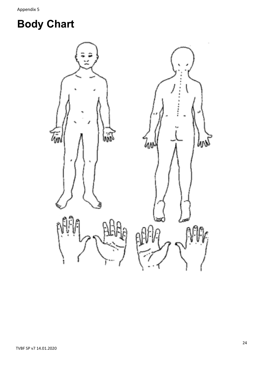# **Body Chart**

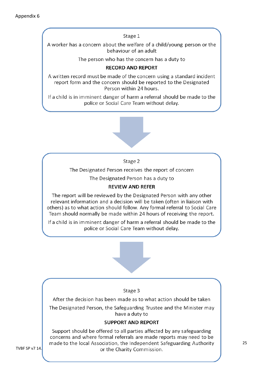Stage 1 A worker has a concern about the welfare of a child/young person or the behaviour of an adult The person who has the concern has a duty to **RECORD AND REPORT** A written record must be made of the concern using a standard incident report form and the concern should be reported to the Designated Person within 24 hours. If a child is in imminent danger of harm a referral should be made to the police or Social Care Team without delay. Stage 2 The Designated Person receives the report of concern The Designated Person has a duty to **REVIEW AND REFER** The report will be reviewed by the Designated Person with any other relevant information and a decision will be taken (often in liaison with others) as to what action should follow. Any formal referral to Social Care Team should normally be made within 24 hours of receiving the report. If a child is in imminent danger of harm a referral should be made to the police or Social Care Team without delay.

#### Stage 3

After the decision has been made as to what action should be taken

The Designated Person, the Safeguarding Trustee and the Minister may have a duty to

#### **SUPPORT AND REPORT**

Support should be offered to all parties affected by any safeguarding concerns and where formal referrals are made reports may need to be made to the local Association, the Independent Safeguarding Authority or the Charity Commission.

TVBF SP v7 14.